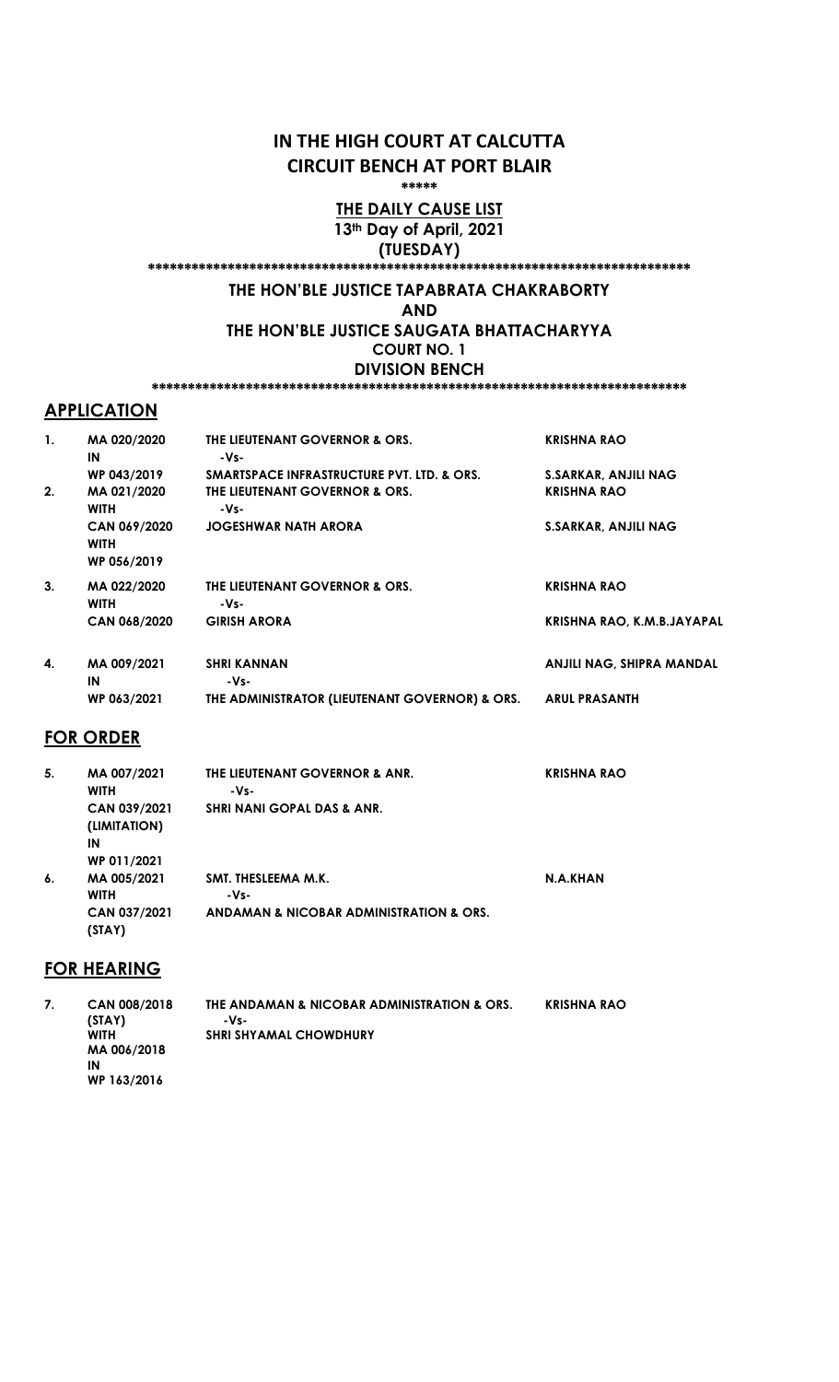## IN THE HIGH COURT AT CALCUTTA CIRCUIT BENCH AT PORT BLAIR

\*\*\*\*\*

### **THE DAILY CAUSE LIST** 13th Day of April, 2021

(TUESDAY) \*\*\*\*\*\*\*\*\*\*\*\*\*\*\*\*\*\*\*\*\*\*\*\*\*\*\*\*\*\*\*\*\*\*\*\*\*\*\*\*\*\*\*\*\*\*\*\*\*\*\*\*\*\*\*\*\*\*\*\*\*\*\*\*\*\*\*\*\*\*\*\*\*\*\*

### THE HON'BLE JUSTICE TAPABRATA CHAKRABORTY

AND

THE HON'BLE JUSTICE SAUGATA BHATTACHARYYA COURT NO. 1 DIVISION BENCH

\*\*\*\*\*\*\*\*\*\*\*\*\*\*\*\*\*\*\*\*\*\*\*\*\*\*\*\*\*\*\*\*\*\*\*\*\*\*\*\*\*\*\*\*\*\*\*\*\*\*\*\*\*\*\*\*\*\*\*\*\*\*\*\*\*\*\*\*\*\*\*\*\*\*

### **APPLICATION**

| 1. | MA 020/2020<br>IN                          | THE LIEUTENANT GOVERNOR & ORS.<br>-Vs-                | <b>KRISHNA RAO</b>          |
|----|--------------------------------------------|-------------------------------------------------------|-----------------------------|
|    | WP 043/2019                                | <b>SMARTSPACE INFRASTRUCTURE PVT. LTD. &amp; ORS.</b> | <b>S.SARKAR, ANJILI NAG</b> |
| 2. | MA 021/2020<br><b>WITH</b>                 | THE LIEUTENANT GOVERNOR & ORS.<br>-Vs-                | <b>KRISHNA RAO</b>          |
|    | CAN 069/2020<br><b>WITH</b><br>WP 056/2019 | <b>JOGESHWAR NATH ARORA</b>                           | <b>S.SARKAR, ANJILI NAG</b> |
| 3. | MA 022/2020<br><b>WITH</b>                 | THE LIEUTENANT GOVERNOR & ORS.<br>-Vs-                | <b>KRISHNA RAO</b>          |
|    | CAN 068/2020                               | <b>GIRISH ARORA</b>                                   | KRISHNA RAO, K.M.B.JAYAPAL  |
| 4. | MA 009/2021<br>IN                          | <b>SHRI KANNAN</b><br>-Vs-                            | ANJILI NAG, SHIPRA MANDAL   |
|    | WP 063/2021                                | THE ADMINISTRATOR (LIEUTENANT GOVERNOR) & ORS.        | <b>ARUL PRASANTH</b>        |
|    | <b>FOR ORDER</b>                           |                                                       |                             |
| 5. | MA 007/2021<br><b>WITH</b>                 | THE LIEUTENANT GOVERNOR & ANR.<br>-Vs-                | <b>KRISHNA RAO</b>          |

|    | IN           |                                         |          |
|----|--------------|-----------------------------------------|----------|
|    | WP 011/2021  |                                         |          |
| 6. | MA 005/2021  | SMT. THESLEEMA M.K.                     | N.A.KHAN |
|    | <b>WITH</b>  | $-Vs-$                                  |          |
|    | CAN 037/2021 | ANDAMAN & NICOBAR ADMINISTRATION & ORS. |          |
|    | (STAY)       |                                         |          |

CAN 039/2021 SHRI NANI GOPAL DAS & ANR.

### FOR HEARING

(LIMITATION)

| CAN 008/2018<br>(STAY) | THE ANDAMAN & NICOBAR ADMINISTRATION & ORS.<br>$-Vs$ | <b>KRISHNA RAO</b> |
|------------------------|------------------------------------------------------|--------------------|
| WITH<br>MA 006/2018    | <b>SHRI SHYAMAL CHOWDHURY</b>                        |                    |

IN WP 163/2016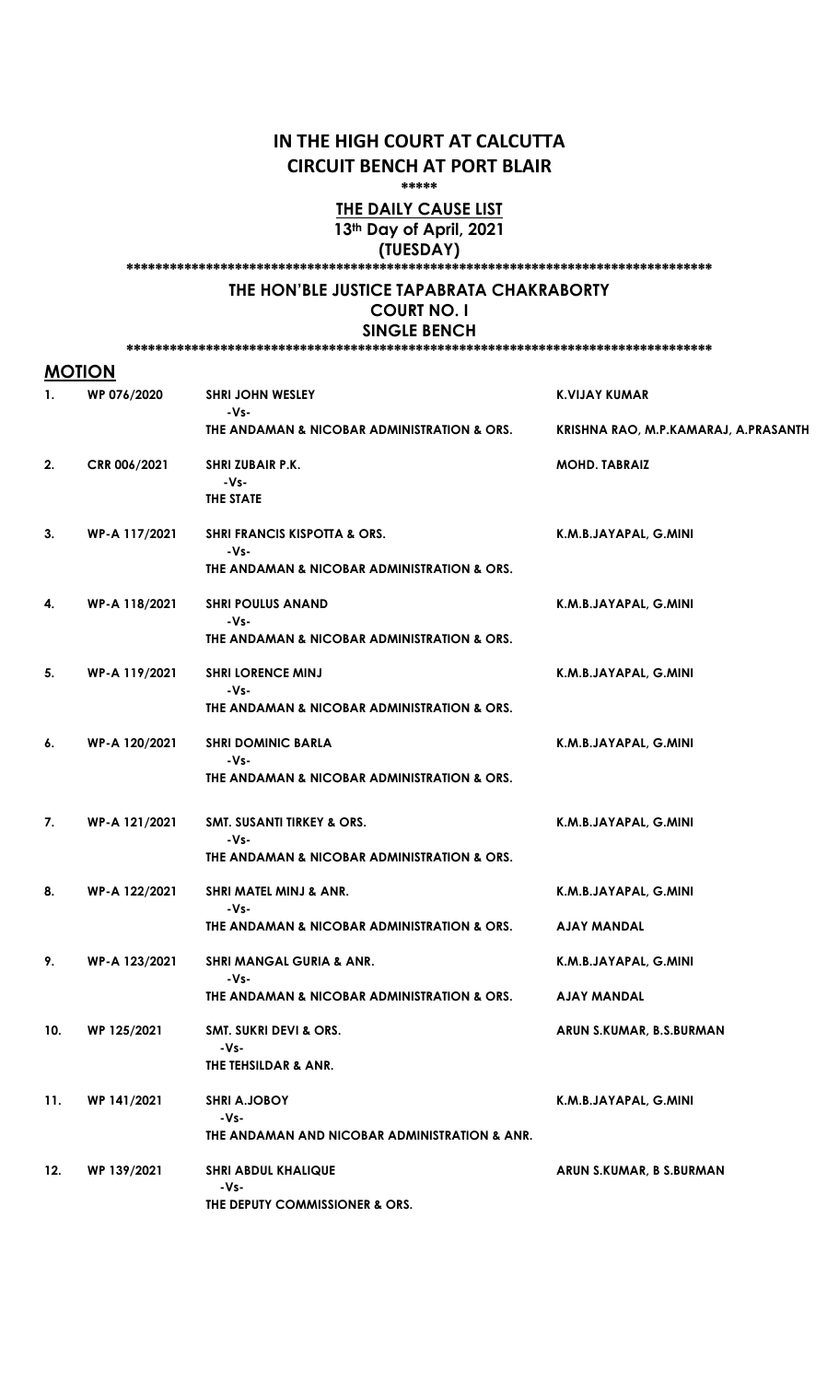## IN THE HIGH COURT AT CALCUTTA CIRCUIT BENCH AT PORT BLAIR

\*\*\*\*\*

### **THE DAILY CAUSE LIST** 13<sup>th</sup> Day of April, 2021 (TUESDAY)

\*\*\*\*\*\*\*\*\*\*\*\*\*\*\*\*\*\*\*\*\*\*\*\*\*\*\*\*\*\*\*\*\*\*\*\*\*\*\*\*\*\*\*\*\*\*\*\*\*\*\*\*\*\*\*\*\*\*\*\*\*\*\*\*\*\*\*\*\*\*\*\*\*\*\*\*\*\*\*\*\*

#### THE HON'BLE JUSTICE TAPABRATA CHAKRABORTY COURT NO. I

SINGLE BENCH

\*\*\*\*\*\*\*\*\*\*\*\*\*\*\*\*\*\*\*\*\*\*\*\*\*\*\*\*\*\*\*\*\*\*\*\*\*\*\*\*\*\*\*\*\*\*\*\*\*\*\*\*\*\*\*\*\*\*\*\*\*\*\*\*\*\*\*\*\*\*\*\*\*\*\*\*\*\*\*\*\*

|     | <b>MOTION</b> |                                                     |                                      |
|-----|---------------|-----------------------------------------------------|--------------------------------------|
| 1.  | WP 076/2020   | <b>SHRI JOHN WESLEY</b><br>-Vs-                     | <b>K.VIJAY KUMAR</b>                 |
|     |               | THE ANDAMAN & NICOBAR ADMINISTRATION & ORS.         | KRISHNA RAO, M.P.KAMARAJ, A.PRASANTH |
| 2.  | CRR 006/2021  | <b>SHRIZUBAIR P.K.</b>                              | <b>MOHD. TABRAIZ</b>                 |
|     |               | -Vs-<br>THE STATE                                   |                                      |
| 3.  | WP-A 117/2021 | SHRI FRANCIS KISPOTTA & ORS.<br>$-Vs-$              | K.M.B.JAYAPAL, G.MINI                |
|     |               | THE ANDAMAN & NICOBAR ADMINISTRATION & ORS.         |                                      |
| 4.  | WP-A 118/2021 | <b>SHRI POULUS ANAND</b><br>-Vs-                    | K.M.B.JAYAPAL, G.MINI                |
|     |               | THE ANDAMAN & NICOBAR ADMINISTRATION & ORS.         |                                      |
| 5.  | WP-A 119/2021 | <b>SHRI LORENCE MINJ</b><br>-Vs-                    | K.M.B.JAYAPAL, G.MINI                |
|     |               | THE ANDAMAN & NICOBAR ADMINISTRATION & ORS.         |                                      |
| 6.  | WP-A 120/2021 | <b>SHRI DOMINIC BARLA</b><br>$-Vs-$                 | K.M.B.JAYAPAL, G.MINI                |
|     |               | THE ANDAMAN & NICOBAR ADMINISTRATION & ORS.         |                                      |
| 7.  | WP-A 121/2021 | SMT. SUSANTI TIRKEY & ORS.                          | K.M.B.JAYAPAL, G.MINI                |
|     |               | -Vs-<br>THE ANDAMAN & NICOBAR ADMINISTRATION & ORS. |                                      |
| 8.  | WP-A 122/2021 | <b>SHRI MATEL MINJ &amp; ANR.</b><br>$-Vs-$         | K.M.B.JAYAPAL, G.MINI                |
|     |               | THE ANDAMAN & NICOBAR ADMINISTRATION & ORS.         | <b>AJAY MANDAL</b>                   |
| 9.  | WP-A 123/2021 | <b>SHRI MANGAL GURIA &amp; ANR.</b><br>-Vs-         | K.M.B.JAYAPAL, G.MINI                |
|     |               | THE ANDAMAN & NICOBAR ADMINISTRATION & ORS.         | <b>AJAY MANDAL</b>                   |
| 10. | WP 125/2021   | <b>SMT. SUKRI DEVI &amp; ORS.</b><br>-Vs-           | ARUN S.KUMAR, B.S.BURMAN             |
|     |               | THE TEHSILDAR & ANR.                                |                                      |
| 11. | WP 141/2021   | <b>SHRI A.JOBOY</b><br>-Vs-                         | K.M.B.JAYAPAL, G.MINI                |
|     |               | THE ANDAMAN AND NICOBAR ADMINISTRATION & ANR.       |                                      |
| 12. | WP 139/2021   | <b>SHRI ABDUL KHALIQUE</b><br>-Vs-                  | ARUN S.KUMAR, B S.BURMAN             |
|     |               | THE DEPUTY COMMISSIONER & ORS.                      |                                      |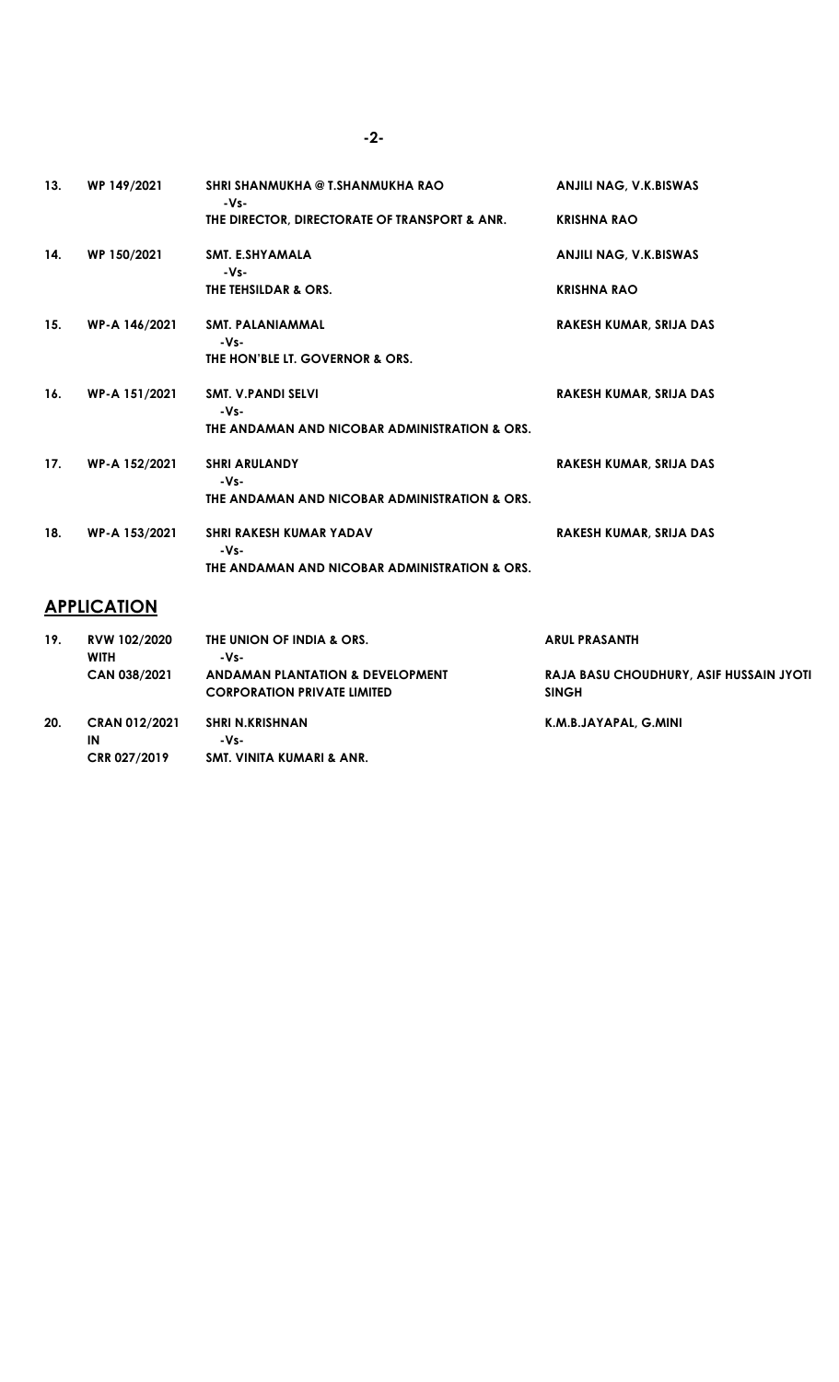| 13. | WP 149/2021          | <b>SHRI SHANMUKHA @ T.SHANMUKHA RAO</b><br>-Vs- | <b>ANJILI NAG, V.K.BISWAS</b>  |
|-----|----------------------|-------------------------------------------------|--------------------------------|
|     |                      | THE DIRECTOR, DIRECTORATE OF TRANSPORT & ANR.   | <b>KRISHNA RAO</b>             |
| 14. | WP 150/2021          | SMT. E.SHYAMALA<br>-Vs-                         | ANJILI NAG, V.K.BISWAS         |
|     |                      | THE TEHSILDAR & ORS.                            | <b>KRISHNA RAO</b>             |
| 15. | WP-A 146/2021        | <b>SMT. PALANIAMMAL</b><br>$-Vs-$               | RAKESH KUMAR, SRIJA DAS        |
|     |                      | THE HON'BLE LT. GOVERNOR & ORS.                 |                                |
| 16. | WP-A 151/2021        | <b>SMT. V.PANDI SELVI</b><br>$-Vs-$             | RAKESH KUMAR, SRIJA DAS        |
|     |                      | THE ANDAMAN AND NICOBAR ADMINISTRATION & ORS.   |                                |
| 17. | WP-A 152/2021        | <b>SHRI ARULANDY</b><br>-Vs-                    | <b>RAKESH KUMAR, SRIJA DAS</b> |
|     |                      | THE ANDAMAN AND NICOBAR ADMINISTRATION & ORS.   |                                |
| 18. | WP-A 153/2021        | <b>SHRI RAKESH KUMAR YADAV</b><br>-Vs-          | RAKESH KUMAR, SRIJA DAS        |
|     |                      | THE ANDAMAN AND NICOBAR ADMINISTRATION & ORS.   |                                |
|     | <b>APPLICATION</b>   |                                                 |                                |
| 19. | RVW 102/2020<br>WITH | THE UNION OF INDIA & ORS.<br>$V_{\rm c}$        | <b>ARUL PRASANTH</b>           |

| .   | NY IN IV <i>li</i> Eulu<br><b>WITH</b>     | $\mathbf{H}$ . The origin of the state $\mathbf{H}$<br>$-Vs-$          | ANVL I NAJARILI                                         |
|-----|--------------------------------------------|------------------------------------------------------------------------|---------------------------------------------------------|
|     | CAN 038/2021                               | ANDAMAN PLANTATION & DEVELOPMENT<br><b>CORPORATION PRIVATE LIMITED</b> | RAJA BASU CHOUDHURY, ASIF HUSSAIN JYOTI<br><b>SINGH</b> |
| 20. | <b>CRAN 012/2021</b><br>IN<br>CRR 027/2019 | SHRI N.KRISHNAN<br>$-Vs-$<br>SMT. VINITA KUMARI & ANR.                 | K.M.B.JAYAPAL, G.MINI                                   |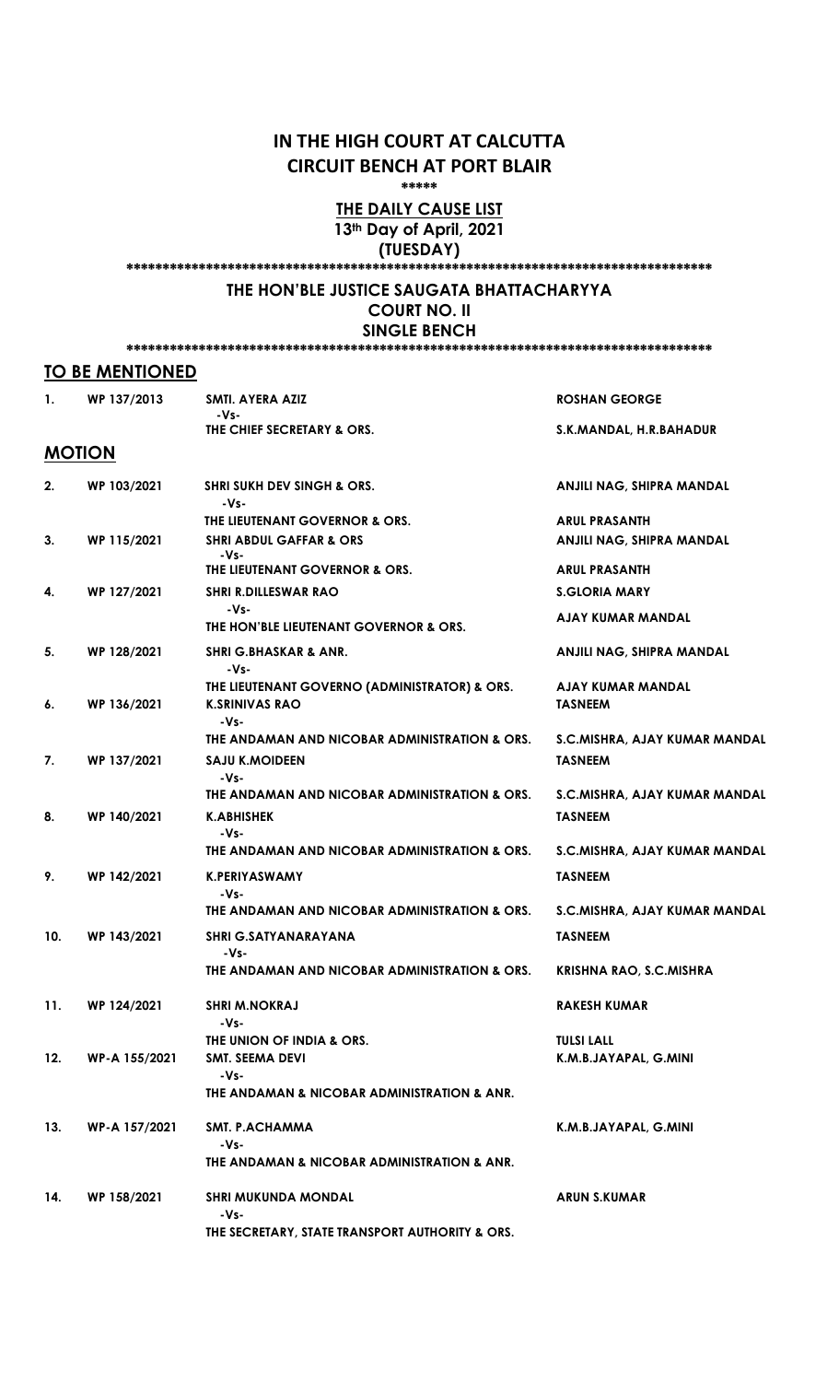## IN THE HIGH COURT AT CALCUTTA CIRCUIT BENCH AT PORT BLAIR

\*\*\*\*\*

### **THE DAILY CAUSE LIST** 13th Day of April, 2021 (TUESDAY)

### \*\*\*\*\*\*\*\*\*\*\*\*\*\*\*\*\*\*\*\*\*\*\*\*\*\*\*\*\*\*\*\*\*\*\*\*\*\*\*\*\*\*\*\*\*\*\*\*\*\*\*\*\*\*\*\*\*\*\*\*\*\*\*\*\*\*\*\*\*\*\*\*\*\*\*\*\*\*\*\*\*

#### THE HON'BLE JUSTICE SAUGATA BHATTACHARYYA COURT NO. II

SINGLE BENCH

\*\*\*\*\*\*\*\*\*\*\*\*\*\*\*\*\*\*\*\*\*\*\*\*\*\*\*\*\*\*\*\*\*\*\*\*\*\*\*\*\*\*\*\*\*\*\*\*\*\*\*\*\*\*\*\*\*\*\*\*\*\*\*\*\*\*\*\*\*\*\*\*\*\*\*\*\*\*\*\*\*

#### TO BE MENTIONED

| 1.  | WP 137/2013   | <b>SMTI. AYERA AZIZ</b><br>-Vs-                                                | <b>ROSHAN GEORGE</b>                      |
|-----|---------------|--------------------------------------------------------------------------------|-------------------------------------------|
|     |               | THE CHIEF SECRETARY & ORS.                                                     | S.K.MANDAL, H.R.BAHADUR                   |
|     | <b>MOTION</b> |                                                                                |                                           |
| 2.  | WP 103/2021   | <b>SHRI SUKH DEV SINGH &amp; ORS.</b><br>-Vs-                                  | ANJILI NAG, SHIPRA MANDAL                 |
|     |               | THE LIEUTENANT GOVERNOR & ORS.                                                 | <b>ARUL PRASANTH</b>                      |
| 3.  | WP 115/2021   | <b>SHRI ABDUL GAFFAR &amp; ORS</b><br>-Vs-                                     | ANJILI NAG, SHIPRA MANDAL                 |
|     |               | THE LIEUTENANT GOVERNOR & ORS.                                                 | <b>ARUL PRASANTH</b>                      |
| 4.  | WP 127/2021   | <b>SHRI R.DILLESWAR RAO</b><br>-Vs-                                            | <b>S.GLORIA MARY</b><br>AJAY KUMAR MANDAL |
|     |               | THE HON'BLE LIEUTENANT GOVERNOR & ORS.                                         |                                           |
| 5.  | WP 128/2021   | <b>SHRI G.BHASKAR &amp; ANR.</b><br>-Vs-                                       | ANJILI NAG, SHIPRA MANDAL                 |
| 6.  | WP 136/2021   | THE LIEUTENANT GOVERNO (ADMINISTRATOR) & ORS.<br><b>K.SRINIVAS RAO</b><br>-Vs- | AJAY KUMAR MANDAL<br><b>TASNEEM</b>       |
|     |               | THE ANDAMAN AND NICOBAR ADMINISTRATION & ORS.                                  | S.C.MISHRA, AJAY KUMAR MANDAL             |
| 7.  | WP 137/2021   | <b>SAJU K.MOIDEEN</b><br>-Vs-                                                  | <b>TASNEEM</b>                            |
|     |               | THE ANDAMAN AND NICOBAR ADMINISTRATION & ORS.                                  | S.C.MISHRA, AJAY KUMAR MANDAL             |
| 8.  | WP 140/2021   | K.ABHISHEK<br>-Vs-                                                             | <b>TASNEEM</b>                            |
|     |               | THE ANDAMAN AND NICOBAR ADMINISTRATION & ORS.                                  | S.C.MISHRA, AJAY KUMAR MANDAL             |
| 9.  | WP 142/2021   | <b>K.PERIYASWAMY</b><br>-Vs-                                                   | <b>TASNEEM</b>                            |
|     |               | THE ANDAMAN AND NICOBAR ADMINISTRATION & ORS.                                  | S.C.MISHRA, AJAY KUMAR MANDAL             |
| 10. | WP 143/2021   | <b>SHRI G.SATYANARAYANA</b><br>-Vs-                                            | <b>TASNEEM</b>                            |
|     |               | THE ANDAMAN AND NICOBAR ADMINISTRATION & ORS.                                  | <b>KRISHNA RAO, S.C.MISHRA</b>            |
| 11. | WP 124/2021   | SHRI M.NOKRAJ<br>-Vs-                                                          | <b>RAKESH KUMAR</b>                       |
|     |               | THE UNION OF INDIA & ORS.                                                      | <b>TULSI LALL</b>                         |
| 12. | WP-A 155/2021 | SMT. SEEMA DEVI<br>-Vs-                                                        | K.M.B.JAYAPAL, G.MINI                     |
|     |               | THE ANDAMAN & NICOBAR ADMINISTRATION & ANR.                                    |                                           |
| 13. | WP-A 157/2021 | SMT. P.ACHAMMA<br>-Vs-                                                         | K.M.B.JAYAPAL, G.MINI                     |
|     |               | THE ANDAMAN & NICOBAR ADMINISTRATION & ANR.                                    |                                           |
| 14. | WP 158/2021   | SHRI MUKUNDA MONDAL<br>-Vs-                                                    | <b>ARUN S.KUMAR</b>                       |
|     |               | THE SECRETARY, STATE TRANSPORT AUTHORITY & ORS.                                |                                           |